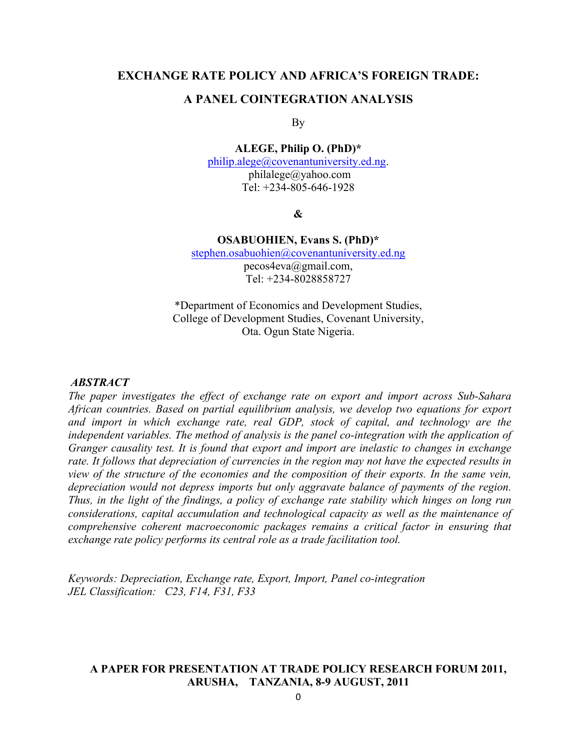### **EXCHANGE RATE POLICY AND AFRICA'S FOREIGN TRADE:**

#### **A PANEL COINTEGRATION ANALYSIS**

By

#### **ALEGE, Philip O. (PhD)\***

philip.alege@covenantuniversity.ed.ng. philalege@yahoo.com Tel: +234-805-646-1928

**&**

#### **OSABUOHIEN, Evans S. (PhD)\***

stephen.osabuohien@covenantuniversity.ed.ng pecos4eva@gmail.com, Tel: +234-8028858727

\*Department of Economics and Development Studies, College of Development Studies, Covenant University, Ota. Ogun State Nigeria.

#### *ABSTRACT*

*The paper investigates the effect of exchange rate on export and import across Sub-Sahara African countries. Based on partial equilibrium analysis, we develop two equations for export and import in which exchange rate, real GDP, stock of capital, and technology are the independent variables. The method of analysis is the panel co-integration with the application of Granger causality test. It is found that export and import are inelastic to changes in exchange rate. It follows that depreciation of currencies in the region may not have the expected results in view of the structure of the economies and the composition of their exports. In the same vein, depreciation would not depress imports but only aggravate balance of payments of the region. Thus, in the light of the findings, a policy of exchange rate stability which hinges on long run considerations, capital accumulation and technological capacity as well as the maintenance of comprehensive coherent macroeconomic packages remains a critical factor in ensuring that exchange rate policy performs its central role as a trade facilitation tool.*

*Keywords: Depreciation, Exchange rate, Export, Import, Panel co-integration JEL Classification: C23, F14, F31, F33*

#### **A PAPER FOR PRESENTATION AT TRADE POLICY RESEARCH FORUM 2011, ARUSHA, TANZANIA, 8-9 AUGUST, 2011**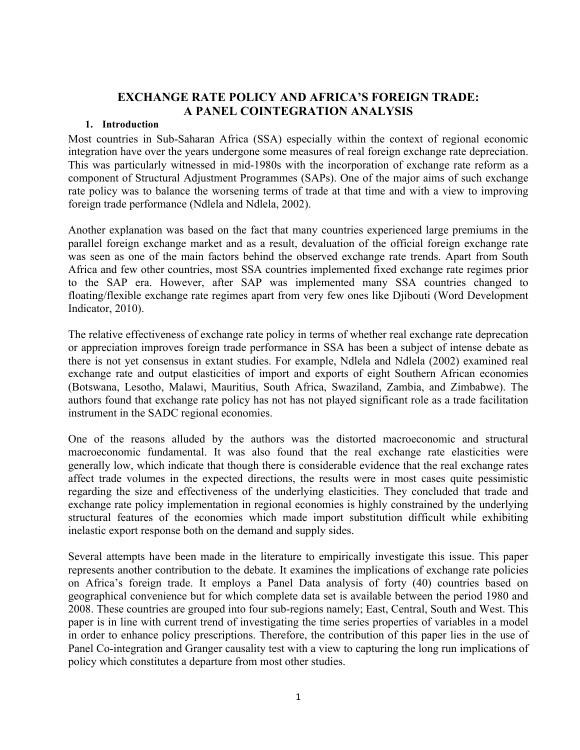# **EXCHANGE RATE POLICY AND AFRICA'S FOREIGN TRADE: A PANEL COINTEGRATION ANALYSIS**

#### **1. Introduction**

Most countries in Sub-Saharan Africa (SSA) especially within the context of regional economic integration have over the years undergone some measures of real foreign exchange rate depreciation. This was particularly witnessed in mid-1980s with the incorporation of exchange rate reform as a component of Structural Adjustment Programmes (SAPs). One of the major aims of such exchange rate policy was to balance the worsening terms of trade at that time and with a view to improving foreign trade performance (Ndlela and Ndlela, 2002).

Another explanation was based on the fact that many countries experienced large premiums in the parallel foreign exchange market and as a result, devaluation of the official foreign exchange rate was seen as one of the main factors behind the observed exchange rate trends. Apart from South Africa and few other countries, most SSA countries implemented fixed exchange rate regimes prior to the SAP era. However, after SAP was implemented many SSA countries changed to floating/flexible exchange rate regimes apart from very few ones like Djibouti (Word Development Indicator, 2010).

The relative effectiveness of exchange rate policy in terms of whether real exchange rate deprecation or appreciation improves foreign trade performance in SSA has been a subject of intense debate as there is not yet consensus in extant studies. For example, Ndlela and Ndlela (2002) examined real exchange rate and output elasticities of import and exports of eight Southern African economies (Botswana, Lesotho, Malawi, Mauritius, South Africa, Swaziland, Zambia, and Zimbabwe). The authors found that exchange rate policy has not has not played significant role as a trade facilitation instrument in the SADC regional economies.

One of the reasons alluded by the authors was the distorted macroeconomic and structural macroeconomic fundamental. It was also found that the real exchange rate elasticities were generally low, which indicate that though there is considerable evidence that the real exchange rates affect trade volumes in the expected directions, the results were in most cases quite pessimistic regarding the size and effectiveness of the underlying elasticities. They concluded that trade and exchange rate policy implementation in regional economies is highly constrained by the underlying structural features of the economies which made import substitution difficult while exhibiting inelastic export response both on the demand and supply sides.

Several attempts have been made in the literature to empirically investigate this issue. This paper represents another contribution to the debate. It examines the implications of exchange rate policies on Africa's foreign trade. It employs a Panel Data analysis of forty (40) countries based on geographical convenience but for which complete data set is available between the period 1980 and 2008. These countries are grouped into four sub-regions namely; East, Central, South and West. This paper is in line with current trend of investigating the time series properties of variables in a model in order to enhance policy prescriptions. Therefore, the contribution of this paper lies in the use of Panel Co-integration and Granger causality test with a view to capturing the long run implications of policy which constitutes a departure from most other studies.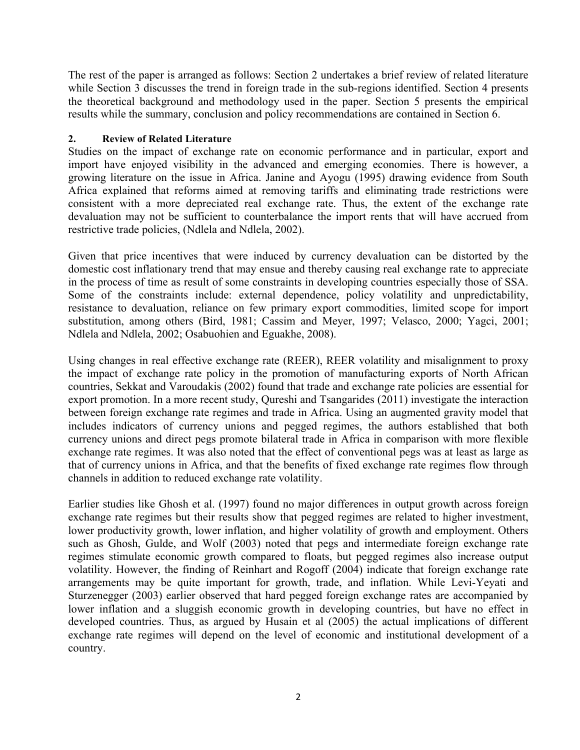The rest of the paper is arranged as follows: Section 2 undertakes a brief review of related literature while Section 3 discusses the trend in foreign trade in the sub-regions identified. Section 4 presents the theoretical background and methodology used in the paper. Section 5 presents the empirical results while the summary, conclusion and policy recommendations are contained in Section 6.

### **2. Review of Related Literature**

Studies on the impact of exchange rate on economic performance and in particular, export and import have enjoyed visibility in the advanced and emerging economies. There is however, a growing literature on the issue in Africa. Janine and Ayogu (1995) drawing evidence from South Africa explained that reforms aimed at removing tariffs and eliminating trade restrictions were consistent with a more depreciated real exchange rate. Thus, the extent of the exchange rate devaluation may not be sufficient to counterbalance the import rents that will have accrued from restrictive trade policies, (Ndlela and Ndlela, 2002).

Given that price incentives that were induced by currency devaluation can be distorted by the domestic cost inflationary trend that may ensue and thereby causing real exchange rate to appreciate in the process of time as result of some constraints in developing countries especially those of SSA. Some of the constraints include: external dependence, policy volatility and unpredictability, resistance to devaluation, reliance on few primary export commodities, limited scope for import substitution, among others (Bird, 1981; Cassim and Meyer, 1997; Velasco, 2000; Yagci, 2001; Ndlela and Ndlela, 2002; Osabuohien and Eguakhe, 2008).

Using changes in real effective exchange rate (REER), REER volatility and misalignment to proxy the impact of exchange rate policy in the promotion of manufacturing exports of North African countries, Sekkat and Varoudakis (2002) found that trade and exchange rate policies are essential for export promotion. In a more recent study, Qureshi and Tsangarides (2011) investigate the interaction between foreign exchange rate regimes and trade in Africa. Using an augmented gravity model that includes indicators of currency unions and pegged regimes, the authors established that both currency unions and direct pegs promote bilateral trade in Africa in comparison with more flexible exchange rate regimes. It was also noted that the effect of conventional pegs was at least as large as that of currency unions in Africa, and that the benefits of fixed exchange rate regimes flow through channels in addition to reduced exchange rate volatility.

Earlier studies like Ghosh et al. (1997) found no major differences in output growth across foreign exchange rate regimes but their results show that pegged regimes are related to higher investment, lower productivity growth, lower inflation, and higher volatility of growth and employment. Others such as Ghosh, Gulde, and Wolf (2003) noted that pegs and intermediate foreign exchange rate regimes stimulate economic growth compared to floats, but pegged regimes also increase output volatility. However, the finding of Reinhart and Rogoff (2004) indicate that foreign exchange rate arrangements may be quite important for growth, trade, and inflation. While Levi-Yeyati and Sturzenegger (2003) earlier observed that hard pegged foreign exchange rates are accompanied by lower inflation and a sluggish economic growth in developing countries, but have no effect in developed countries. Thus, as argued by Husain et al (2005) the actual implications of different exchange rate regimes will depend on the level of economic and institutional development of a country.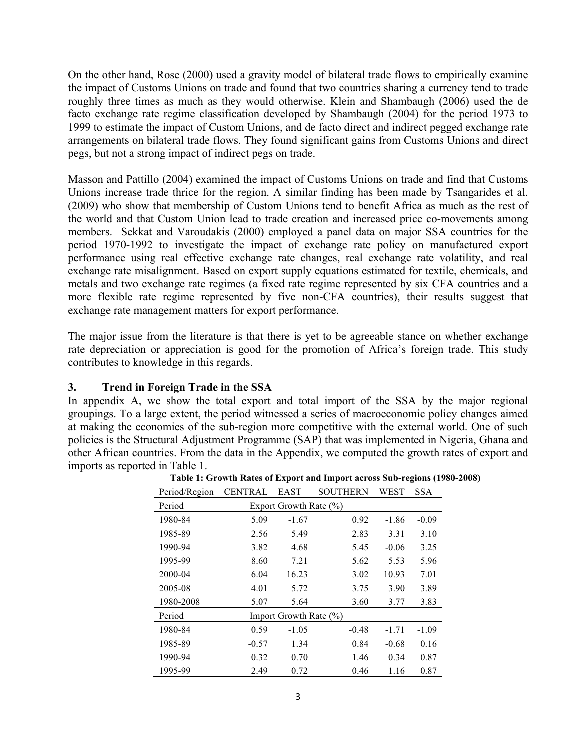On the other hand, Rose (2000) used a gravity model of bilateral trade flows to empirically examine the impact of Customs Unions on trade and found that two countries sharing a currency tend to trade roughly three times as much as they would otherwise. Klein and Shambaugh (2006) used the de facto exchange rate regime classification developed by Shambaugh (2004) for the period 1973 to 1999 to estimate the impact of Custom Unions, and de facto direct and indirect pegged exchange rate arrangements on bilateral trade flows. They found significant gains from Customs Unions and direct pegs, but not a strong impact of indirect pegs on trade.

Masson and Pattillo (2004) examined the impact of Customs Unions on trade and find that Customs Unions increase trade thrice for the region. A similar finding has been made by Tsangarides et al. (2009) who show that membership of Custom Unions tend to benefit Africa as much as the rest of the world and that Custom Union lead to trade creation and increased price co-movements among members. Sekkat and Varoudakis (2000) employed a panel data on major SSA countries for the period 1970-1992 to investigate the impact of exchange rate policy on manufactured export performance using real effective exchange rate changes, real exchange rate volatility, and real exchange rate misalignment. Based on export supply equations estimated for textile, chemicals, and metals and two exchange rate regimes (a fixed rate regime represented by six CFA countries and a more flexible rate regime represented by five non-CFA countries), their results suggest that exchange rate management matters for export performance.

The major issue from the literature is that there is yet to be agreeable stance on whether exchange rate depreciation or appreciation is good for the promotion of Africa's foreign trade. This study contributes to knowledge in this regards.

## **3. Trend in Foreign Trade in the SSA**

In appendix A, we show the total export and total import of the SSA by the major regional groupings. To a large extent, the period witnessed a series of macroeconomic policy changes aimed at making the economies of the sub-region more competitive with the external world. One of such policies is the Structural Adjustment Programme (SAP) that was implemented in Nigeria, Ghana and other African countries. From the data in the Appendix, we computed the growth rates of export and imports as reported in Table 1.

| Period/Region | <b>CENTRAL</b>         | EAST                       | <b>SOUTHERN</b> | WEST    | <b>SSA</b> |  |  |  |
|---------------|------------------------|----------------------------|-----------------|---------|------------|--|--|--|
| Period        | Export Growth Rate (%) |                            |                 |         |            |  |  |  |
| 1980-84       | 5.09                   | $-1.67$                    | 0.92            | $-1.86$ | $-0.09$    |  |  |  |
| 1985-89       | 2.56                   | 5.49                       | 2.83            | 3.31    | 3.10       |  |  |  |
| 1990-94       | 3.82                   | 4.68                       | 5.45            | $-0.06$ | 3.25       |  |  |  |
| 1995-99       | 8.60                   | 7.21                       | 5.62            | 5.53    | 5.96       |  |  |  |
| 2000-04       | 6.04                   | 16.23                      | 3.02            | 10.93   | 7.01       |  |  |  |
| 2005-08       | 4.01                   | 5.72                       | 3.75            | 3.90    | 3.89       |  |  |  |
| 1980-2008     | 5.07                   | 5.64                       | 3.60            | 3.77    | 3.83       |  |  |  |
| Period        |                        | Import Growth Rate $(\% )$ |                 |         |            |  |  |  |
| 1980-84       | 0.59                   | $-1.05$                    | $-0.48$         | $-1.71$ | $-1.09$    |  |  |  |
| 1985-89       | $-0.57$                | 1.34                       | 0.84            | $-0.68$ | 0.16       |  |  |  |
| 1990-94       | 0.32                   | 0.70                       | 1.46            | 0.34    | 0.87       |  |  |  |
| 1995-99       | 2.49                   | 0.72                       | 0.46            | 1.16    | 0.87       |  |  |  |

**Table 1: Growth Rates of Export and Import across Sub-regions (1980-2008)**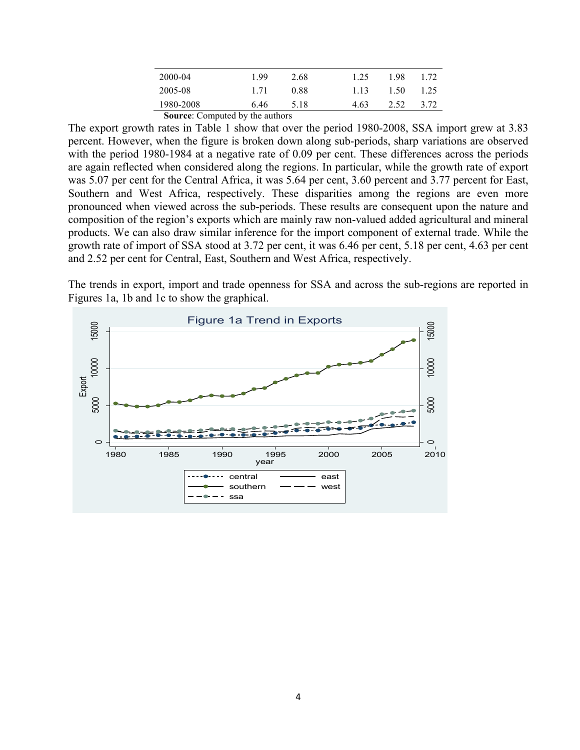| 2000-04   | 199  | 2.68 | 1.25  | 198  | 1.72 |
|-----------|------|------|-------|------|------|
| 2005-08   | 171  | 0.88 | 1 1 3 | 1.50 | 1.25 |
| 1980-2008 | 6.46 | 5.18 | 4.63  | 2.52 | 3.72 |

**Source:** Computed by the authors

The export growth rates in Table 1 show that over the period 1980-2008, SSA import grew at 3.83 percent. However, when the figure is broken down along sub-periods, sharp variations are observed with the period 1980-1984 at a negative rate of 0.09 per cent. These differences across the periods are again reflected when considered along the regions. In particular, while the growth rate of export was 5.07 per cent for the Central Africa, it was 5.64 per cent, 3.60 percent and 3.77 percent for East, Southern and West Africa, respectively. These disparities among the regions are even more pronounced when viewed across the sub-periods. These results are consequent upon the nature and composition of the region's exports which are mainly raw non-valued added agricultural and mineral products. We can also draw similar inference for the import component of external trade. While the growth rate of import of SSA stood at 3.72 per cent, it was 6.46 per cent, 5.18 per cent, 4.63 per cent and 2.52 per cent for Central, East, Southern and West Africa, respectively.

The trends in export, import and trade openness for SSA and across the sub-regions are reported in Figures 1a, 1b and 1c to show the graphical.

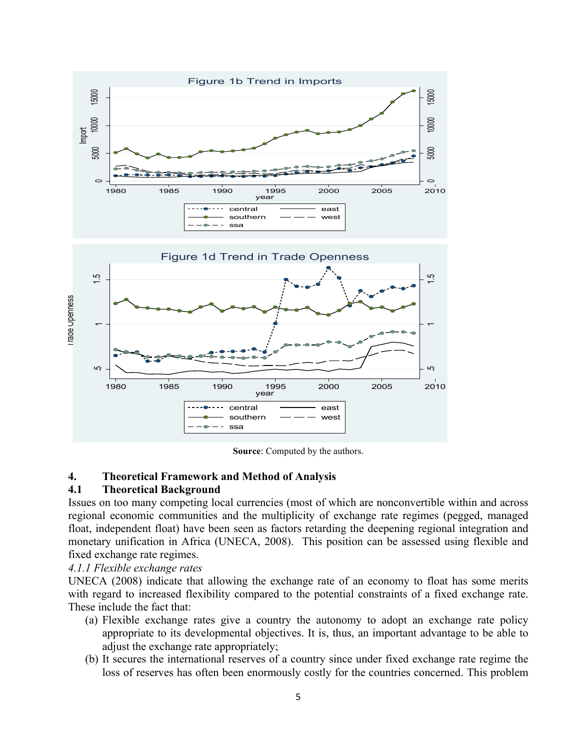

**Source**: Computed by the authors.

### **4. Theoretical Framework and Method of Analysis**

### **4.1 Theoretical Background**

Issues on too many competing local currencies (most of which are nonconvertible within and across regional economic communities and the multiplicity of exchange rate regimes (pegged, managed float, independent float) have been seen as factors retarding the deepening regional integration and monetary unification in Africa (UNECA, 2008). This position can be assessed using flexible and fixed exchange rate regimes.

### *4.1.1 Flexible exchange rates*

UNECA (2008) indicate that allowing the exchange rate of an economy to float has some merits with regard to increased flexibility compared to the potential constraints of a fixed exchange rate. These include the fact that:

- (a) Flexible exchange rates give a country the autonomy to adopt an exchange rate policy appropriate to its developmental objectives. It is, thus, an important advantage to be able to adjust the exchange rate appropriately;
- (b) It secures the international reserves of a country since under fixed exchange rate regime the loss of reserves has often been enormously costly for the countries concerned. This problem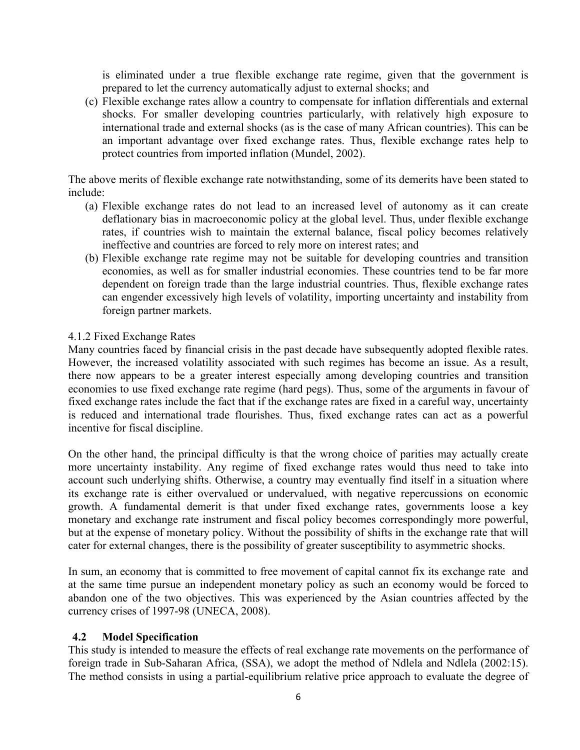is eliminated under a true flexible exchange rate regime, given that the government is prepared to let the currency automatically adjust to external shocks; and

(c) Flexible exchange rates allow a country to compensate for inflation differentials and external shocks. For smaller developing countries particularly, with relatively high exposure to international trade and external shocks (as is the case of many African countries). This can be an important advantage over fixed exchange rates. Thus, flexible exchange rates help to protect countries from imported inflation (Mundel, 2002).

The above merits of flexible exchange rate notwithstanding, some of its demerits have been stated to include:

- (a) Flexible exchange rates do not lead to an increased level of autonomy as it can create deflationary bias in macroeconomic policy at the global level. Thus, under flexible exchange rates, if countries wish to maintain the external balance, fiscal policy becomes relatively ineffective and countries are forced to rely more on interest rates; and
- (b) Flexible exchange rate regime may not be suitable for developing countries and transition economies, as well as for smaller industrial economies. These countries tend to be far more dependent on foreign trade than the large industrial countries. Thus, flexible exchange rates can engender excessively high levels of volatility, importing uncertainty and instability from foreign partner markets.

## 4.1.2 Fixed Exchange Rates

Many countries faced by financial crisis in the past decade have subsequently adopted flexible rates. However, the increased volatility associated with such regimes has become an issue. As a result, there now appears to be a greater interest especially among developing countries and transition economies to use fixed exchange rate regime (hard pegs). Thus, some of the arguments in favour of fixed exchange rates include the fact that if the exchange rates are fixed in a careful way, uncertainty is reduced and international trade flourishes. Thus, fixed exchange rates can act as a powerful incentive for fiscal discipline.

On the other hand, the principal difficulty is that the wrong choice of parities may actually create more uncertainty instability. Any regime of fixed exchange rates would thus need to take into account such underlying shifts. Otherwise, a country may eventually find itself in a situation where its exchange rate is either overvalued or undervalued, with negative repercussions on economic growth. A fundamental demerit is that under fixed exchange rates, governments loose a key monetary and exchange rate instrument and fiscal policy becomes correspondingly more powerful, but at the expense of monetary policy. Without the possibility of shifts in the exchange rate that will cater for external changes, there is the possibility of greater susceptibility to asymmetric shocks.

In sum, an economy that is committed to free movement of capital cannot fix its exchange rate and at the same time pursue an independent monetary policy as such an economy would be forced to abandon one of the two objectives. This was experienced by the Asian countries affected by the currency crises of 1997-98 (UNECA, 2008).

### **4.2 Model Specification**

This study is intended to measure the effects of real exchange rate movements on the performance of foreign trade in Sub-Saharan Africa, (SSA), we adopt the method of Ndlela and Ndlela (2002:15). The method consists in using a partial-equilibrium relative price approach to evaluate the degree of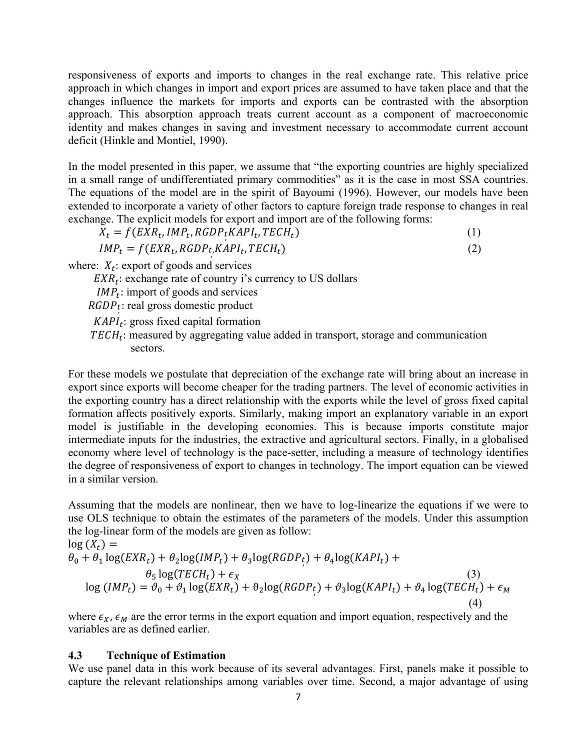responsiveness of exports and imports to changes in the real exchange rate. This relative price approach in which changes in import and export prices are assumed to have taken place and that the changes influence the markets for imports and exports can be contrasted with the absorption approach. This absorption approach treats current account as a component of macroeconomic identity and makes changes in saving and investment necessary to accommodate current account deficit (Hinkle and Montiel, 1990).

In the model presented in this paper, we assume that "the exporting countries are highly specialized in a small range of undifferentiated primary commodities" as it is the case in most SSA countries. The equations of the model are in the spirit of Bayoumi (1996). However, our models have been extended to incorporate a variety of other factors to capture foreign trade response to changes in real exchange. The explicit models for export and import are of the following forms:

 $X_t = f(EXR_t, IMP_t, RGBP_tKAPI_t, TECH_t)$  (1)

 $IMP_t = f(EXR_t, RGBP_t, KAPI_t, TECH_t)$  (2)

where:  $X_t$ : export of goods and services

 $EXR_t$ : exchange rate of country i's currency to US dollars

- $IMP_t$ : import of goods and services
- $RGDP_t$ : real gross domestic product
	- $KAPI_t$ : gross fixed capital formation
	- $TECH_t$ : measured by aggregating value added in transport, storage and communication sectors.

For these models we postulate that depreciation of the exchange rate will bring about an increase in export since exports will become cheaper for the trading partners. The level of economic activities in the exporting country has a direct relationship with the exports while the level of gross fixed capital formation affects positively exports. Similarly, making import an explanatory variable in an export model is justifiable in the developing economies. This is because imports constitute major intermediate inputs for the industries, the extractive and agricultural sectors. Finally, in a globalised economy where level of technology is the pace-setter, including a measure of technology identifies the degree of responsiveness of export to changes in technology. The import equation can be viewed in a similar version.

Assuming that the models are nonlinear, then we have to log-linearize the equations if we were to use OLS technique to obtain the estimates of the parameters of the models. Under this assumption the log-linear form of the models are given as follow:

$$
\log(X_t) =
$$
\n
$$
\theta_0 + \theta_1 \log(EX_{t}) + \theta_2 \log(IMP_t) + \theta_3 \log(RGDP_t) + \theta_4 \log(KAPl_t) +
$$
\n
$$
\theta_5 \log(TECH_t) + \epsilon_X
$$
\n
$$
\log(IMP_t) = \vartheta_0 + \vartheta_1 \log(EX_{t}) + \vartheta_2 \log(RGDP_t) + \vartheta_3 \log(KAPl_t) + \vartheta_4 \log(TECH_t) + \epsilon_M
$$
\n(3)\n(4)

where  $\epsilon_X$ ,  $\epsilon_M$  are the error terms in the export equation and import equation, respectively and the variables are as defined earlier.

#### **4.3 Technique of Estimation**

We use panel data in this work because of its several advantages. First, panels make it possible to capture the relevant relationships among variables over time. Second, a major advantage of using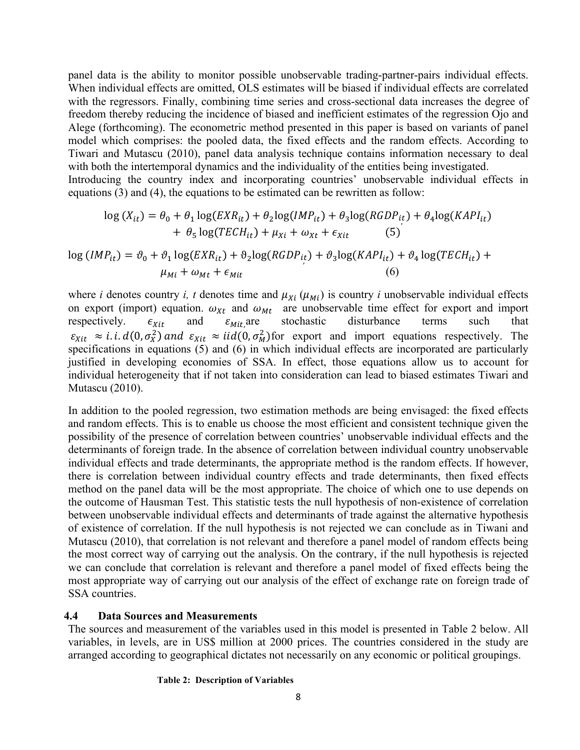panel data is the ability to monitor possible unobservable trading-partner-pairs individual effects. When individual effects are omitted, OLS estimates will be biased if individual effects are correlated with the regressors. Finally, combining time series and cross-sectional data increases the degree of freedom thereby reducing the incidence of biased and inefficient estimates of the regression Ojo and Alege (forthcoming). The econometric method presented in this paper is based on variants of panel model which comprises: the pooled data, the fixed effects and the random effects. According to Tiwari and Mutascu (2010), panel data analysis technique contains information necessary to deal with both the intertemporal dynamics and the individuality of the entities being investigated. Introducing the country index and incorporating countries' unobservable individual effects in

equations (3) and (4), the equations to be estimated can be rewritten as follow:

$$
\log(X_{it}) = \theta_0 + \theta_1 \log(EXR_{it}) + \theta_2 \log(IMP_{it}) + \theta_3 \log(RGDP_{it}) + \theta_4 \log(KAPI_{it}) + \theta_5 \log(TECH_{it}) + \mu_{Xi} + \omega_{Xt} + \epsilon_{Xit}
$$
 (5)

$$
\log (IMP_{it}) = \vartheta_0 + \vartheta_1 \log (EXR_{it}) + \vartheta_2 \log (RGDP_{it}) + \vartheta_3 \log (KAPI_{it}) + \vartheta_4 \log (TECH_{it}) + \mu_{Mi} + \omega_{Mt} + \epsilon_{Mit}
$$
\n(6)

where *i* denotes country *i*, *t* denotes time and  $\mu_{Xi}(\mu_{Mi})$  is country *i* unobservable individual effects on export (import) equation.  $\omega_{xt}$  and  $\omega_{Mt}$  are unobservable time effect for export and import respectively.  $\epsilon_{xit}$  and  $\epsilon_{Mit}$  are stochastic disturbance terms such that respectively.  $\epsilon_{Xit}$  and  $\epsilon_{Mit}$  are disturbance terms such that  $\varepsilon_{Xit} \approx i.i.d(0,\sigma_X^2)$  and  $\varepsilon_{Xit} \approx iid(0,\sigma_M^2)$  for export and import equations respectively. The specifications in equations (5) and (6) in which individual effects are incorporated are particularly justified in developing economies of SSA. In effect, those equations allow us to account for individual heterogeneity that if not taken into consideration can lead to biased estimates Tiwari and Mutascu (2010).

In addition to the pooled regression, two estimation methods are being envisaged: the fixed effects and random effects. This is to enable us choose the most efficient and consistent technique given the possibility of the presence of correlation between countries' unobservable individual effects and the determinants of foreign trade. In the absence of correlation between individual country unobservable individual effects and trade determinants, the appropriate method is the random effects. If however, there is correlation between individual country effects and trade determinants, then fixed effects method on the panel data will be the most appropriate. The choice of which one to use depends on the outcome of Hausman Test. This statistic tests the null hypothesis of non-existence of correlation between unobservable individual effects and determinants of trade against the alternative hypothesis of existence of correlation. If the null hypothesis is not rejected we can conclude as in Tiwani and Mutascu (2010), that correlation is not relevant and therefore a panel model of random effects being the most correct way of carrying out the analysis. On the contrary, if the null hypothesis is rejected we can conclude that correlation is relevant and therefore a panel model of fixed effects being the most appropriate way of carrying out our analysis of the effect of exchange rate on foreign trade of SSA countries.

### **4.4 Data Sources and Measurements**

The sources and measurement of the variables used in this model is presented in Table 2 below. All variables, in levels, are in US\$ million at 2000 prices. The countries considered in the study are arranged according to geographical dictates not necessarily on any economic or political groupings.

#### **Table 2: Description of Variables**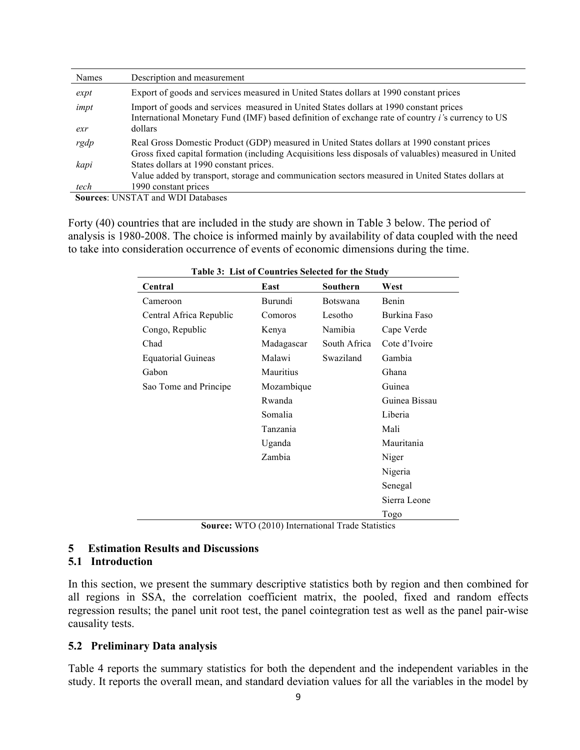| Names       | Description and measurement                                                                                                                                                                                    |
|-------------|----------------------------------------------------------------------------------------------------------------------------------------------------------------------------------------------------------------|
| expt        | Export of goods and services measured in United States dollars at 1990 constant prices                                                                                                                         |
| impt<br>exr | Import of goods and services measured in United States dollars at 1990 constant prices<br>International Monetary Fund (IMF) based definition of exchange rate of country <i>i</i> 's currency to US<br>dollars |
| rgdp        | Real Gross Domestic Product (GDP) measured in United States dollars at 1990 constant prices<br>Gross fixed capital formation (including Acquisitions less disposals of valuables) measured in United           |
| kapi        | States dollars at 1990 constant prices.<br>Value added by transport, storage and communication sectors measured in United States dollars at                                                                    |
| tech        | 1990 constant prices                                                                                                                                                                                           |

 **Sources**: UNSTAT and WDI Databases

Forty (40) countries that are included in the study are shown in Table 3 below. The period of analysis is 1980-2008. The choice is informed mainly by availability of data coupled with the need to take into consideration occurrence of events of economic dimensions during the time.

|                           | Table 5: List of Countries Selected for the Study |                 |               |
|---------------------------|---------------------------------------------------|-----------------|---------------|
| Central                   | East                                              | Southern        | West          |
| Cameroon                  | Burundi                                           | <b>Botswana</b> | Benin         |
| Central Africa Republic   | Comoros                                           | Lesotho         | Burkina Faso  |
| Congo, Republic           | Kenya                                             | Namibia         | Cape Verde    |
| Chad                      | Madagascar                                        | South Africa    | Cote d'Ivoire |
| <b>Equatorial Guineas</b> | Malawi                                            | Swaziland       | Gambia        |
| Gabon                     | Mauritius                                         |                 | Ghana         |
| Sao Tome and Principe     | Mozambique                                        |                 | Guinea        |
|                           | Rwanda                                            |                 | Guinea Bissau |
|                           | Somalia                                           |                 | Liberia       |
|                           | Tanzania                                          |                 | Mali          |
|                           | Uganda                                            |                 | Mauritania    |
|                           | Zambia                                            |                 | Niger         |
|                           |                                                   |                 | Nigeria       |
|                           |                                                   |                 | Senegal       |
|                           |                                                   |                 | Sierra Leone  |
|                           |                                                   |                 | Togo          |

 **Table 3: List of Countries Selected for the Study** 

**Source:** WTO (2010) International Trade Statistics

## **5 Estimation Results and Discussions**

#### **5.1 Introduction**

In this section, we present the summary descriptive statistics both by region and then combined for all regions in SSA, the correlation coefficient matrix, the pooled, fixed and random effects regression results; the panel unit root test, the panel cointegration test as well as the panel pair-wise causality tests.

#### **5.2 Preliminary Data analysis**

Table 4 reports the summary statistics for both the dependent and the independent variables in the study. It reports the overall mean, and standard deviation values for all the variables in the model by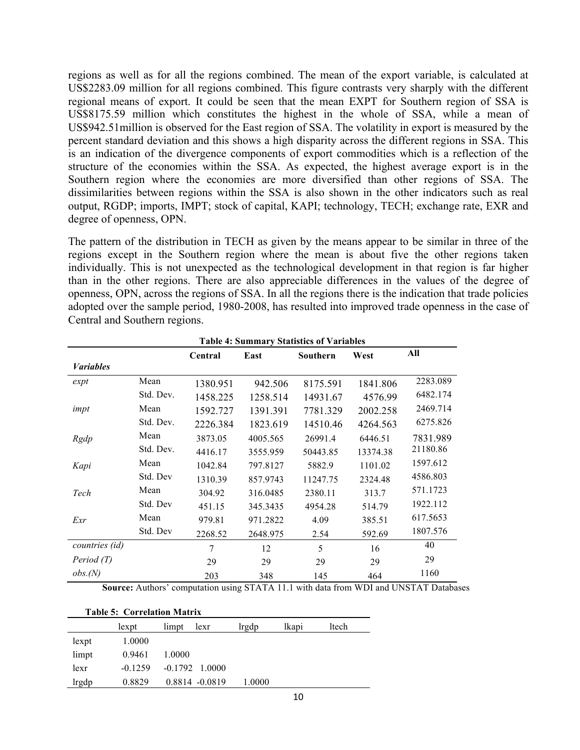regions as well as for all the regions combined. The mean of the export variable, is calculated at US\$2283.09 million for all regions combined. This figure contrasts very sharply with the different regional means of export. It could be seen that the mean EXPT for Southern region of SSA is US\$8175.59 million which constitutes the highest in the whole of SSA, while a mean of US\$942.51million is observed for the East region of SSA. The volatility in export is measured by the percent standard deviation and this shows a high disparity across the different regions in SSA. This is an indication of the divergence components of export commodities which is a reflection of the structure of the economies within the SSA. As expected, the highest average export is in the Southern region where the economies are more diversified than other regions of SSA. The dissimilarities between regions within the SSA is also shown in the other indicators such as real output, RGDP; imports, IMPT; stock of capital, KAPI; technology, TECH; exchange rate, EXR and degree of openness, OPN.

The pattern of the distribution in TECH as given by the means appear to be similar in three of the regions except in the Southern region where the mean is about five the other regions taken individually. This is not unexpected as the technological development in that region is far higher than in the other regions. There are also appreciable differences in the values of the degree of openness, OPN, across the regions of SSA. In all the regions there is the indication that trade policies adopted over the sample period, 1980-2008, has resulted into improved trade openness in the case of Central and Southern regions.

|                         |           |          |          | <b>Table 4: Summary Statistics of Variables</b> |          |          |
|-------------------------|-----------|----------|----------|-------------------------------------------------|----------|----------|
|                         |           | Central  | East     | Southern                                        | West     | All      |
| <b><i>Variables</i></b> |           |          |          |                                                 |          |          |
| expt                    | Mean      | 1380.951 | 942.506  | 8175.591                                        | 1841.806 | 2283.089 |
|                         | Std. Dev. | 1458.225 | 1258.514 | 14931.67                                        | 4576.99  | 6482.174 |
| impt                    | Mean      | 1592.727 | 1391.391 | 7781.329                                        | 2002.258 | 2469.714 |
|                         | Std. Dev. | 2226.384 | 1823.619 | 14510.46                                        | 4264.563 | 6275.826 |
| Rgdp                    | Mean      | 3873.05  | 4005.565 | 26991.4                                         | 6446.51  | 7831.989 |
|                         | Std. Dev. | 4416.17  | 3555.959 | 50443.85                                        | 13374.38 | 21180.86 |
| Kapi                    | Mean      | 1042.84  | 797.8127 | 5882.9                                          | 1101.02  | 1597.612 |
|                         | Std. Dev  | 1310.39  | 857.9743 | 11247.75                                        | 2324.48  | 4586.803 |
| Tech                    | Mean      | 304.92   | 316.0485 | 2380.11                                         | 313.7    | 571.1723 |
|                         | Std. Dev  | 451.15   | 345.3435 | 4954.28                                         | 514.79   | 1922.112 |
| Exr                     | Mean      | 979.81   | 971.2822 | 4.09                                            | 385.51   | 617.5653 |
|                         | Std. Dev  | 2268.52  | 2648.975 | 2.54                                            | 592.69   | 1807.576 |
| countries (id)          |           | 7        | 12       | 5                                               | 16       | 40       |
| Period (T)              |           | 29       | 29       | 29                                              | 29       | 29       |
| obs.(N)                 |           | 203      | 348      | 145                                             | 464      | 1160     |

**Source:** Authors' computation using STATA 11.1 with data from WDI and UNSTAT Databases

| <b>Table 5: Correlation Matrix</b> |  |
|------------------------------------|--|
|                                    |  |

|       | lexpt     | limpt<br>lexr     | lrgdp  | lkapi | ltech |
|-------|-----------|-------------------|--------|-------|-------|
| lexpt | 1.0000    |                   |        |       |       |
| limpt | 0.9461    | 1.0000            |        |       |       |
| lexr  | $-0.1259$ | $-0.1792$ 1.0000  |        |       |       |
| lrgdp | 0.8829    | $0.8814 - 0.0819$ | 1.0000 |       |       |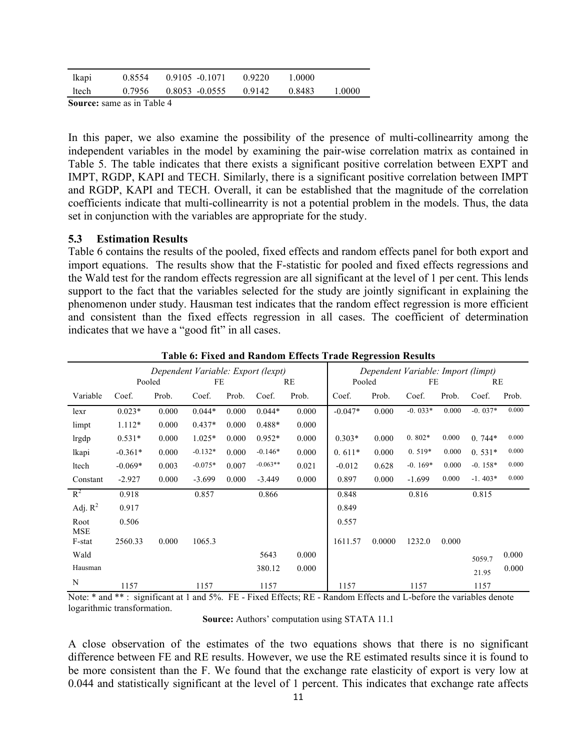|       | September 2000 - 20 in Telela 4 |                                               |        |         |          |
|-------|---------------------------------|-----------------------------------------------|--------|---------|----------|
| ltech |                                 | $0.7956$ $0.8053$ $-0.0555$ $0.9142$ $0.8483$ |        |         | - 1.0000 |
| lkapi |                                 | $0.8554$ $0.9105$ $-0.1071$                   | 0.9220 | -1.0000 |          |

**Source:** same as in Table 4

In this paper, we also examine the possibility of the presence of multi-collinearrity among the independent variables in the model by examining the pair-wise correlation matrix as contained in Table 5. The table indicates that there exists a significant positive correlation between EXPT and IMPT, RGDP, KAPI and TECH. Similarly, there is a significant positive correlation between IMPT and RGDP, KAPI and TECH. Overall, it can be established that the magnitude of the correlation coefficients indicate that multi-collinearrity is not a potential problem in the models. Thus, the data set in conjunction with the variables are appropriate for the study.

#### **5.3 Estimation Results**

Table 6 contains the results of the pooled, fixed effects and random effects panel for both export and import equations. The results show that the F-statistic for pooled and fixed effects regressions and the Wald test for the random effects regression are all significant at the level of 1 per cent. This lends support to the fact that the variables selected for the study are jointly significant in explaining the phenomenon under study. Hausman test indicates that the random effect regression is more efficient and consistent than the fixed effects regression in all cases. The coefficient of determination indicates that we have a "good fit" in all cases.

|             |           | Pooled | Dependent Variable: Export (lexpt)<br>FE |       |            | RE    | Pooled    |        | Dependent Variable: Import (limpt)<br>FE |       | RE        |       |
|-------------|-----------|--------|------------------------------------------|-------|------------|-------|-----------|--------|------------------------------------------|-------|-----------|-------|
| Variable    | Coef.     | Prob.  | Coef.                                    | Prob. | Coef.      | Prob. | Coef.     | Prob.  | Coef.                                    | Prob. | Coef.     | Prob. |
| lexr        | $0.023*$  | 0.000  | $0.044*$                                 | 0.000 | $0.044*$   | 0.000 | $-0.047*$ | 0.000  | $-0.033*$                                | 0.000 | $-0.037*$ | 0.000 |
| limpt       | $1.112*$  | 0.000  | $0.437*$                                 | 0.000 | $0.488*$   | 0.000 |           |        |                                          |       |           |       |
| lrgdp       | $0.531*$  | 0.000  | $1.025*$                                 | 0.000 | $0.952*$   | 0.000 | $0.303*$  | 0.000  | $0.802*$                                 | 0.000 | $0.744*$  | 0.000 |
| lkapi       | $-0.361*$ | 0.000  | $-0.132*$                                | 0.000 | $-0.146*$  | 0.000 | $0.611*$  | 0.000  | $0.519*$                                 | 0.000 | $0.531*$  | 0.000 |
| ltech       | $-0.069*$ | 0.003  | $-0.075*$                                | 0.007 | $-0.063**$ | 0.021 | $-0.012$  | 0.628  | $-0.169*$                                | 0.000 | $-0.158*$ | 0.000 |
| Constant    | $-2.927$  | 0.000  | $-3.699$                                 | 0.000 | $-3.449$   | 0.000 | 0.897     | 0.000  | $-1.699$                                 | 0.000 | $-1.403*$ | 0.000 |
| $R^2$       | 0.918     |        | 0.857                                    |       | 0.866      |       | 0.848     |        | 0.816                                    |       | 0.815     |       |
| Adj. $R^2$  | 0.917     |        |                                          |       |            |       | 0.849     |        |                                          |       |           |       |
| Root<br>MSE | 0.506     |        |                                          |       |            |       | 0.557     |        |                                          |       |           |       |
| F-stat      | 2560.33   | 0.000  | 1065.3                                   |       |            |       | 1611.57   | 0.0000 | 1232.0                                   | 0.000 |           |       |
| Wald        |           |        |                                          |       | 5643       | 0.000 |           |        |                                          |       | 5059.7    | 0.000 |
| Hausman     |           |        |                                          |       | 380.12     | 0.000 |           |        |                                          |       | 21.95     | 0.000 |
| N           | 1157      |        | 1157                                     |       | 1157       |       | 1157      |        | 1157                                     |       | 1157      |       |

#### **Table 6: Fixed and Random Effects Trade Regression Results**

Note: \* and \*\*: significant at 1 and 5%. FE - Fixed Effects; RE - Random Effects and L-before the variables denote logarithmic transformation.

**Source:** Authors' computation using STATA 11.1

A close observation of the estimates of the two equations shows that there is no significant difference between FE and RE results. However, we use the RE estimated results since it is found to be more consistent than the F. We found that the exchange rate elasticity of export is very low at 0.044 and statistically significant at the level of 1 percent. This indicates that exchange rate affects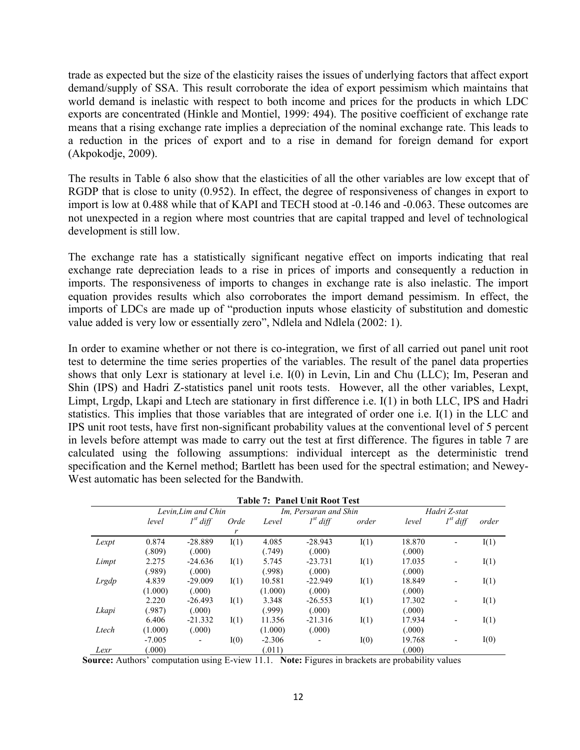trade as expected but the size of the elasticity raises the issues of underlying factors that affect export demand/supply of SSA. This result corroborate the idea of export pessimism which maintains that world demand is inelastic with respect to both income and prices for the products in which LDC exports are concentrated (Hinkle and Montiel, 1999: 494). The positive coefficient of exchange rate means that a rising exchange rate implies a depreciation of the nominal exchange rate. This leads to a reduction in the prices of export and to a rise in demand for foreign demand for export (Akpokodje, 2009).

The results in Table 6 also show that the elasticities of all the other variables are low except that of RGDP that is close to unity (0.952). In effect, the degree of responsiveness of changes in export to import is low at 0.488 while that of KAPI and TECH stood at -0.146 and -0.063. These outcomes are not unexpected in a region where most countries that are capital trapped and level of technological development is still low.

The exchange rate has a statistically significant negative effect on imports indicating that real exchange rate depreciation leads to a rise in prices of imports and consequently a reduction in imports. The responsiveness of imports to changes in exchange rate is also inelastic. The import equation provides results which also corroborates the import demand pessimism. In effect, the imports of LDCs are made up of "production inputs whose elasticity of substitution and domestic value added is very low or essentially zero", Ndlela and Ndlela (2002: 1).

In order to examine whether or not there is co-integration, we first of all carried out panel unit root test to determine the time series properties of the variables. The result of the panel data properties shows that only Lexr is stationary at level i.e. I(0) in Levin, Lin and Chu (LLC); Im, Peseran and Shin (IPS) and Hadri Z-statistics panel unit roots tests. However, all the other variables, Lexpt, Limpt, Lrgdp, Lkapi and Ltech are stationary in first difference i.e. I(1) in both LLC, IPS and Hadri statistics. This implies that those variables that are integrated of order one i.e. I(1) in the LLC and IPS unit root tests, have first non-significant probability values at the conventional level of 5 percent in levels before attempt was made to carry out the test at first difference. The figures in table 7 are calculated using the following assumptions: individual intercept as the deterministic trend specification and the Kernel method; Bartlett has been used for the spectral estimation; and Newey-West automatic has been selected for the Bandwith.

|       |                     |                                    |           |                     | <b>Table 7: Panel Unit Root Test</b> |       |                  |               |       |  |
|-------|---------------------|------------------------------------|-----------|---------------------|--------------------------------------|-------|------------------|---------------|-------|--|
|       |                     | Levin, Lim and Chin                |           |                     | Im, Persaran and Shin                |       |                  | Hadri Z-stat  |       |  |
|       | level               | $I^{st}$ diff                      | Orde<br>r | Level               | $I^{st}$ diff                        | order | level            | $I^{st}$ diff | order |  |
| Lexpt | 0.874<br>(.809)     | $-28.889$<br>(.000)                | I(1)      | 4.085<br>(.749)     | $-28.943$<br>(.000)                  | I(1)  | 18.870<br>(.000) |               | I(1)  |  |
| Limpt | 2.275               | $-24.636$                          | I(1)      | 5.745               | $-23.731$                            | I(1)  | 17.035           |               | I(1)  |  |
| Lrgdp | (.989)<br>4.839     | (.000)<br>$-29.009$                | I(1)      | (.998)<br>10.581    | (.000)<br>$-22.949$                  | I(1)  | (.000)<br>18.849 | ٠             | I(1)  |  |
|       | (1.000)<br>2.220    | (.000)<br>$-26.493$                | I(1)      | (1.000)<br>3.348    | (.000)<br>$-26.553$                  | I(1)  | (.000)<br>17.302 |               | I(1)  |  |
| Lkapi | (.987)<br>6.406     | (.000)<br>$-21.332$                | I(1)      | (.999)<br>11.356    | (.000)<br>$-21.316$                  | I(1)  | (.000)<br>17.934 |               | I(1)  |  |
| Ltech | (1.000)<br>$-7.005$ | (.000)<br>$\overline{\phantom{a}}$ | I(0)      | (1.000)<br>$-2.306$ | (.000)<br>$\overline{\phantom{a}}$   | I(0)  | (.000)<br>19.768 | ٠             | I(0)  |  |
| Lexr  | (.000)              |                                    |           | (.011)              |                                      |       | (.000)           |               |       |  |

 **Source:** Authors' computation using E-view 11.1. **Note:** Figures in brackets are probability values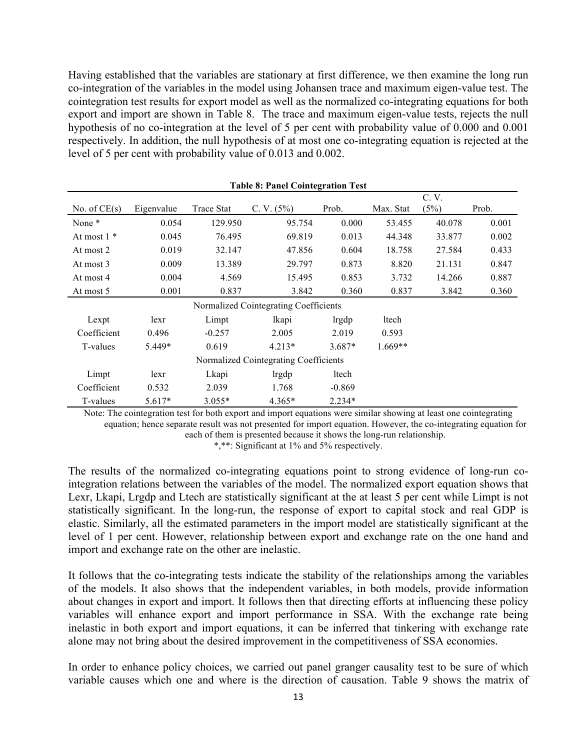Having established that the variables are stationary at first difference, we then examine the long run co-integration of the variables in the model using Johansen trace and maximum eigen-value test. The cointegration test results for export model as well as the normalized co-integrating equations for both export and import are shown in Table 8. The trace and maximum eigen-value tests, rejects the null hypothesis of no co-integration at the level of 5 per cent with probability value of 0.000 and 0.001 respectively. In addition, the null hypothesis of at most one co-integrating equation is rejected at the level of 5 per cent with probability value of 0.013 and 0.002.

|                |            |            | <b>Table 8: Panel Cointegration Test</b> |          |           |        |       |
|----------------|------------|------------|------------------------------------------|----------|-----------|--------|-------|
|                |            |            |                                          |          |           | C. V.  |       |
| No. of $CE(s)$ | Eigenvalue | Trace Stat | C. V. $(5%)$                             | Prob.    | Max. Stat | (5%)   | Prob. |
| None *         | 0.054      | 129.950    | 95.754                                   | 0.000    | 53.455    | 40.078 | 0.001 |
| At most $1$ *  | 0.045      | 76.495     | 69.819                                   | 0.013    | 44.348    | 33.877 | 0.002 |
| At most 2      | 0.019      | 32.147     | 47.856                                   | 0.604    | 18.758    | 27.584 | 0.433 |
| At most 3      | 0.009      | 13.389     | 29.797                                   | 0.873    | 8.820     | 21.131 | 0.847 |
| At most 4      | 0.004      | 4.569      | 15.495                                   | 0.853    | 3.732     | 14.266 | 0.887 |
| At most 5      | 0.001      | 0.837      | 3.842                                    | 0.360    | 0.837     | 3.842  | 0.360 |
|                |            |            | Normalized Cointegrating Coefficients    |          |           |        |       |
| Lexpt          | lexr       | Limpt      | lkapi                                    | lrgdp    | ltech     |        |       |
| Coefficient    | 0.496      | $-0.257$   | 2.005                                    | 2.019    | 0.593     |        |       |
| T-values       | 5.449*     | 0.619      | $4.213*$                                 | $3.687*$ | $1.669**$ |        |       |
|                |            |            | Normalized Cointegrating Coefficients    |          |           |        |       |
| Limpt          | lexr       | Lkapi      | lrgdp                                    | ltech    |           |        |       |
| Coefficient    | 0.532      | 2.039      | 1.768                                    | $-0.869$ |           |        |       |
| T-values       | $5.617*$   | $3.055*$   | $4.365*$                                 | $2.234*$ |           |        |       |

Note: The cointegration test for both export and import equations were similar showing at least one cointegrating equation; hence separate result was not presented for import equation. However, the co-integrating equation for each of them is presented because it shows the long-run relationship.

\*,\*\*: Significant at 1% and 5% respectively.

The results of the normalized co-integrating equations point to strong evidence of long-run cointegration relations between the variables of the model. The normalized export equation shows that Lexr, Lkapi, Lrgdp and Ltech are statistically significant at the at least 5 per cent while Limpt is not statistically significant. In the long-run, the response of export to capital stock and real GDP is elastic. Similarly, all the estimated parameters in the import model are statistically significant at the level of 1 per cent. However, relationship between export and exchange rate on the one hand and import and exchange rate on the other are inelastic.

It follows that the co-integrating tests indicate the stability of the relationships among the variables of the models. It also shows that the independent variables, in both models, provide information about changes in export and import. It follows then that directing efforts at influencing these policy variables will enhance export and import performance in SSA. With the exchange rate being inelastic in both export and import equations, it can be inferred that tinkering with exchange rate alone may not bring about the desired improvement in the competitiveness of SSA economies.

In order to enhance policy choices, we carried out panel granger causality test to be sure of which variable causes which one and where is the direction of causation. Table 9 shows the matrix of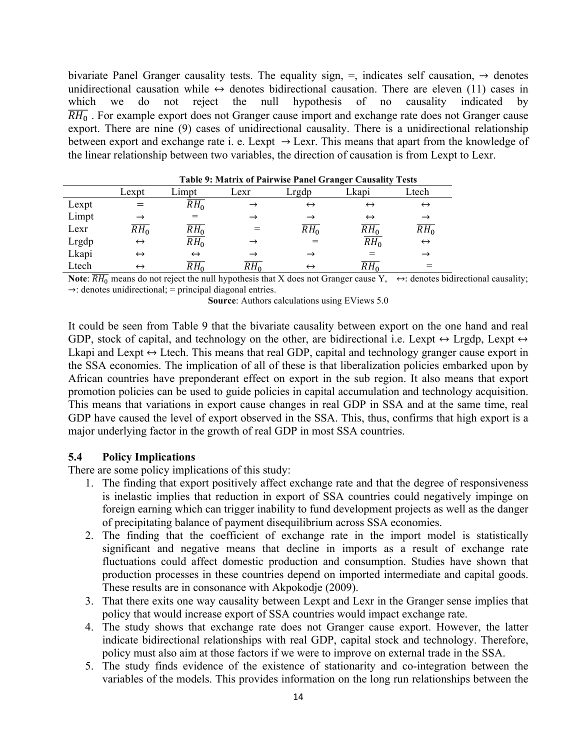bivariate Panel Granger causality tests. The equality sign,  $=$ , indicates self causation,  $\rightarrow$  denotes unidirectional causation while  $\leftrightarrow$  denotes bidirectional causation. There are eleven (11) cases in which we do not reject the null hypothesis of no causality indicated by  $\overline{RH_{0}}$ . For example export does not Granger cause import and exchange rate does not Granger cause export. There are nine (9) cases of unidirectional causality. There is a unidirectional relationship between export and exchange rate i. e. Lexpt  $\rightarrow$  Lexr. This means that apart from the knowledge of the linear relationship between two variables, the direction of causation is from Lexpt to Lexr.

|       | Table 9: Matrix of Pairwise Panel Granger Causality Tests |                     |               |                   |                   |                   |  |  |  |
|-------|-----------------------------------------------------------|---------------------|---------------|-------------------|-------------------|-------------------|--|--|--|
|       | Lexpt                                                     | Limpt               | Lexr          | Lrgdp             | Lkapi             | Ltech             |  |  |  |
| Lexpt |                                                           | $RH_0$              | $\rightarrow$ | $\leftrightarrow$ | $\leftrightarrow$ | $\leftrightarrow$ |  |  |  |
| Limpt |                                                           |                     | →             |                   | $\leftrightarrow$ | $\rightarrow$     |  |  |  |
| Lexr  | $\overline{RH_{0}}$                                       | $RH_0$              |               | $RH_0$            | $RH_0$            | $RH_0$            |  |  |  |
| Lrgdp | $\leftrightarrow$                                         | $\overline{RH_{0}}$ | $\rightarrow$ |                   | $R\overline{H_0}$ | $\leftrightarrow$ |  |  |  |
| Lkapi | $\leftrightarrow$                                         | $\leftrightarrow$   |               |                   |                   | $\rightarrow$     |  |  |  |
| Ltech | $\leftrightarrow$                                         | $RH_0$              | $RH_0$        | $\leftrightarrow$ | $RH_0$            |                   |  |  |  |

**Note**:  $\overline{RH_0}$  means do not reject the null hypothesis that X does not Granger cause Y,  $\leftrightarrow$ : denotes bidirectional causality;  $\rightarrow$ : denotes unidirectional; = principal diagonal entries.

**Source**: Authors calculations using EViews 5.0

It could be seen from Table 9 that the bivariate causality between export on the one hand and real GDP, stock of capital, and technology on the other, are bidirectional i.e. Lexpt  $\leftrightarrow$  Lrgdp, Lexpt  $\leftrightarrow$ Lkapi and Lexpt  $\leftrightarrow$  Ltech. This means that real GDP, capital and technology granger cause export in the SSA economies. The implication of all of these is that liberalization policies embarked upon by African countries have preponderant effect on export in the sub region. It also means that export promotion policies can be used to guide policies in capital accumulation and technology acquisition. This means that variations in export cause changes in real GDP in SSA and at the same time, real GDP have caused the level of export observed in the SSA. This, thus, confirms that high export is a major underlying factor in the growth of real GDP in most SSA countries.

#### **5.4 Policy Implications**

There are some policy implications of this study:

- 1. The finding that export positively affect exchange rate and that the degree of responsiveness is inelastic implies that reduction in export of SSA countries could negatively impinge on foreign earning which can trigger inability to fund development projects as well as the danger of precipitating balance of payment disequilibrium across SSA economies.
- 2. The finding that the coefficient of exchange rate in the import model is statistically significant and negative means that decline in imports as a result of exchange rate fluctuations could affect domestic production and consumption. Studies have shown that production processes in these countries depend on imported intermediate and capital goods. These results are in consonance with Akpokodje (2009).
- 3. That there exits one way causality between Lexpt and Lexr in the Granger sense implies that policy that would increase export of SSA countries would impact exchange rate.
- 4. The study shows that exchange rate does not Granger cause export. However, the latter indicate bidirectional relationships with real GDP, capital stock and technology. Therefore, policy must also aim at those factors if we were to improve on external trade in the SSA.
- 5. The study finds evidence of the existence of stationarity and co-integration between the variables of the models. This provides information on the long run relationships between the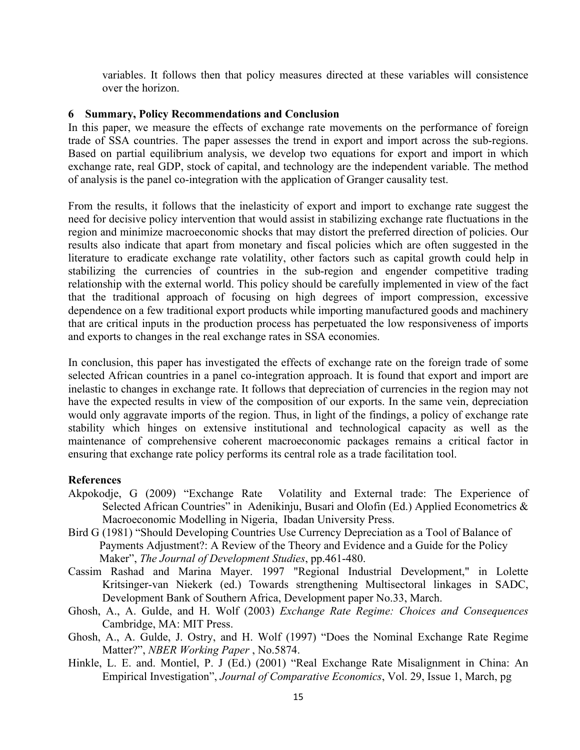variables. It follows then that policy measures directed at these variables will consistence over the horizon.

#### **6 Summary, Policy Recommendations and Conclusion**

In this paper, we measure the effects of exchange rate movements on the performance of foreign trade of SSA countries. The paper assesses the trend in export and import across the sub-regions. Based on partial equilibrium analysis, we develop two equations for export and import in which exchange rate, real GDP, stock of capital, and technology are the independent variable. The method of analysis is the panel co-integration with the application of Granger causality test.

From the results, it follows that the inelasticity of export and import to exchange rate suggest the need for decisive policy intervention that would assist in stabilizing exchange rate fluctuations in the region and minimize macroeconomic shocks that may distort the preferred direction of policies. Our results also indicate that apart from monetary and fiscal policies which are often suggested in the literature to eradicate exchange rate volatility, other factors such as capital growth could help in stabilizing the currencies of countries in the sub-region and engender competitive trading relationship with the external world. This policy should be carefully implemented in view of the fact that the traditional approach of focusing on high degrees of import compression, excessive dependence on a few traditional export products while importing manufactured goods and machinery that are critical inputs in the production process has perpetuated the low responsiveness of imports and exports to changes in the real exchange rates in SSA economies.

In conclusion, this paper has investigated the effects of exchange rate on the foreign trade of some selected African countries in a panel co-integration approach. It is found that export and import are inelastic to changes in exchange rate. It follows that depreciation of currencies in the region may not have the expected results in view of the composition of our exports. In the same vein, depreciation would only aggravate imports of the region. Thus, in light of the findings, a policy of exchange rate stability which hinges on extensive institutional and technological capacity as well as the maintenance of comprehensive coherent macroeconomic packages remains a critical factor in ensuring that exchange rate policy performs its central role as a trade facilitation tool.

### **References**

- Akpokodje, G (2009) "Exchange Rate Volatility and External trade: The Experience of Selected African Countries" in Adenikinju, Busari and Olofin (Ed.) Applied Econometrics & Macroeconomic Modelling in Nigeria, Ibadan University Press.
- Bird G (1981) "Should Developing Countries Use Currency Depreciation as a Tool of Balance of Payments Adjustment?: A Review of the Theory and Evidence and a Guide for the Policy Maker", *The Journal of Development Studies*, pp.461-480.
- Cassim Rashad and Marina Mayer. 1997 "Regional Industrial Development," in Lolette Kritsinger-van Niekerk (ed.) Towards strengthening Multisectoral linkages in SADC, Development Bank of Southern Africa, Development paper No.33, March.
- Ghosh, A., A. Gulde, and H. Wolf (2003) *Exchange Rate Regime: Choices and Consequences*  Cambridge, MA: MIT Press.
- Ghosh, A., A. Gulde, J. Ostry, and H. Wolf (1997) "Does the Nominal Exchange Rate Regime Matter?", *NBER Working Paper* , No.5874.
- Hinkle, L. E. and. Montiel, P. J (Ed.) (2001) "Real Exchange Rate Misalignment in China: An Empirical Investigation", *Journal of Comparative Economics*, Vol. 29, Issue 1, March, pg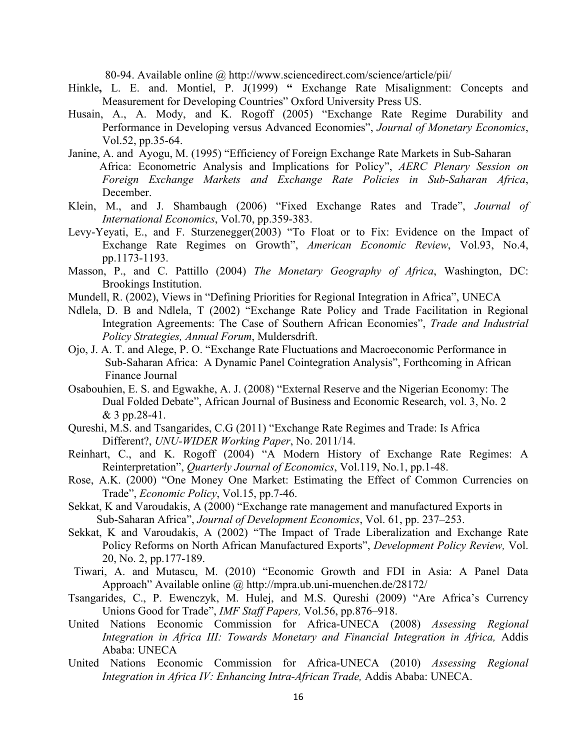80-94. Available online @ http://www.sciencedirect.com/science/article/pii/

- Hinkle, L. E. and. Montiel, P. J(1999) " Exchange Rate Misalignment: Concepts and Measurement for Developing Countries" Oxford University Press US.
- Husain, A., A. Mody, and K. Rogoff (2005) "Exchange Rate Regime Durability and Performance in Developing versus Advanced Economies", *Journal of Monetary Economics*, Vol.52, pp.35-64.
- Janine, A. and Ayogu, M. (1995) "Efficiency of Foreign Exchange Rate Markets in Sub-Saharan Africa: Econometric Analysis and Implications for Policy", *AERC Plenary Session on Foreign Exchange Markets and Exchange Rate Policies in Sub-Saharan Africa*, December.
- Klein, M., and J. Shambaugh (2006) "Fixed Exchange Rates and Trade", *Journal of International Economics*, Vol.70, pp.359-383.
- Levy-Yeyati, E., and F. Sturzenegger(2003) "To Float or to Fix: Evidence on the Impact of Exchange Rate Regimes on Growth", *American Economic Review*, Vol.93, No.4, pp.1173-1193.
- Masson, P., and C. Pattillo (2004) *The Monetary Geography of Africa*, Washington, DC: Brookings Institution.
- Mundell, R. (2002), Views in "Defining Priorities for Regional Integration in Africa", UNECA
- Ndlela, D. B and Ndlela, T (2002) "Exchange Rate Policy and Trade Facilitation in Regional Integration Agreements: The Case of Southern African Economies", *Trade and Industrial Policy Strategies, Annual Forum*, Muldersdrift.
- Ojo, J. A. T. and Alege, P. O. "Exchange Rate Fluctuations and Macroeconomic Performance in Sub-Saharan Africa: A Dynamic Panel Cointegration Analysis", Forthcoming in African Finance Journal
- Osabouhien, E. S. and Egwakhe, A. J. (2008) "External Reserve and the Nigerian Economy: The Dual Folded Debate", African Journal of Business and Economic Research, vol. 3, No. 2 & 3 pp.28-41.
- Qureshi, M.S. and Tsangarides, C.G (2011) "Exchange Rate Regimes and Trade: Is Africa Different?, *UNU-WIDER Working Paper*, No. 2011/14.
- Reinhart, C., and K. Rogoff (2004) "A Modern History of Exchange Rate Regimes: A Reinterpretation", *Quarterly Journal of Economics*, Vol.119, No.1, pp.1-48.
- Rose, A.K. (2000) "One Money One Market: Estimating the Effect of Common Currencies on Trade", *Economic Policy*, Vol.15, pp.7-46.
- Sekkat, K and Varoudakis, A (2000) "Exchange rate management and manufactured Exports in Sub-Saharan Africa", *Journal of Development Economics*, Vol. 61, pp. 237–253.
- Sekkat, K and Varoudakis, A (2002) "The Impact of Trade Liberalization and Exchange Rate Policy Reforms on North African Manufactured Exports", *Development Policy Review,* Vol. 20, No. 2, pp.177-189.
- Tiwari, A. and Mutascu, M. (2010) "Economic Growth and FDI in Asia: A Panel Data Approach" Available online @ http://mpra.ub.uni-muenchen.de/28172/
- Tsangarides, C., P. Ewenczyk, M. Hulej, and M.S. Qureshi (2009) "Are Africa's Currency Unions Good for Trade", *IMF Staff Papers,* Vol.56, pp.876–918.
- United Nations Economic Commission for Africa-UNECA (2008) *Assessing Regional Integration in Africa III: Towards Monetary and Financial Integration in Africa,* Addis Ababa: UNECA
- United Nations Economic Commission for Africa-UNECA (2010) *Assessing Regional Integration in Africa IV: Enhancing Intra-African Trade,* Addis Ababa: UNECA.